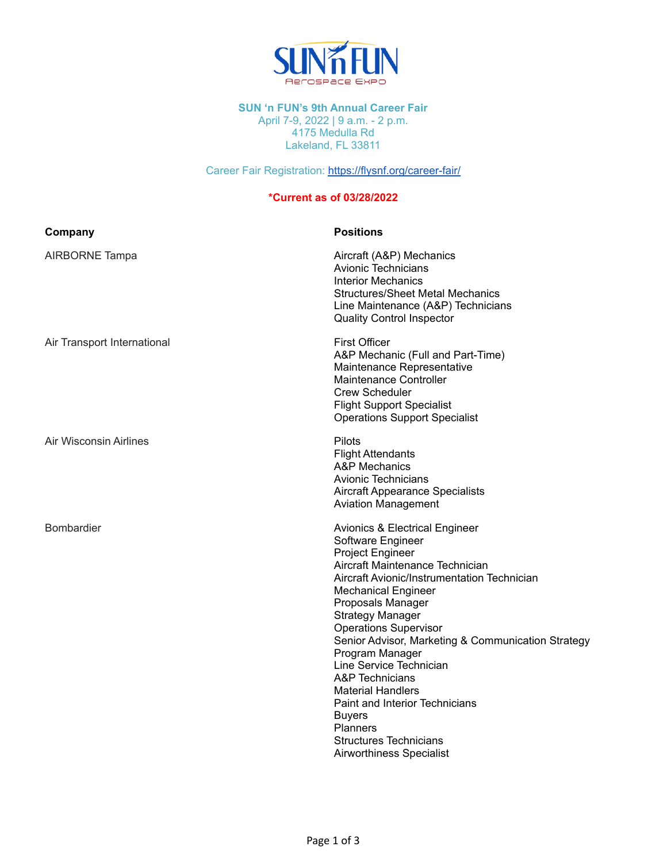

## **SUN 'n FUN's 9th Annual Career Fair**

April 7-9, 2022 | 9 a.m. - 2 p.m. 4175 Medulla Rd Lakeland, FL 33811

Career Fair Registration: <https://flysnf.org/career-fair/>

## **\*Current as of 03/28/2022**

| Company                     | <b>Positions</b>                                                                                                                                                                                                                                                                                                                                                                                                                                                                                                                                                                           |
|-----------------------------|--------------------------------------------------------------------------------------------------------------------------------------------------------------------------------------------------------------------------------------------------------------------------------------------------------------------------------------------------------------------------------------------------------------------------------------------------------------------------------------------------------------------------------------------------------------------------------------------|
| AIRBORNE Tampa              | Aircraft (A&P) Mechanics<br>Avionic Technicians<br>Interior Mechanics<br><b>Structures/Sheet Metal Mechanics</b><br>Line Maintenance (A&P) Technicians<br><b>Quality Control Inspector</b>                                                                                                                                                                                                                                                                                                                                                                                                 |
| Air Transport International | <b>First Officer</b><br>A&P Mechanic (Full and Part-Time)<br>Maintenance Representative<br>Maintenance Controller<br><b>Crew Scheduler</b><br><b>Flight Support Specialist</b><br><b>Operations Support Specialist</b>                                                                                                                                                                                                                                                                                                                                                                     |
| Air Wisconsin Airlines      | Pilots<br><b>Flight Attendants</b><br>A&P Mechanics<br><b>Avionic Technicians</b><br><b>Aircraft Appearance Specialists</b><br><b>Aviation Management</b>                                                                                                                                                                                                                                                                                                                                                                                                                                  |
| <b>Bombardier</b>           | <b>Avionics &amp; Electrical Engineer</b><br>Software Engineer<br><b>Project Engineer</b><br>Aircraft Maintenance Technician<br>Aircraft Avionic/Instrumentation Technician<br><b>Mechanical Engineer</b><br>Proposals Manager<br><b>Strategy Manager</b><br><b>Operations Supervisor</b><br>Senior Advisor, Marketing & Communication Strategy<br>Program Manager<br>Line Service Technician<br><b>A&amp;P</b> Technicians<br><b>Material Handlers</b><br>Paint and Interior Technicians<br><b>Buyers</b><br><b>Planners</b><br><b>Structures Technicians</b><br>Airworthiness Specialist |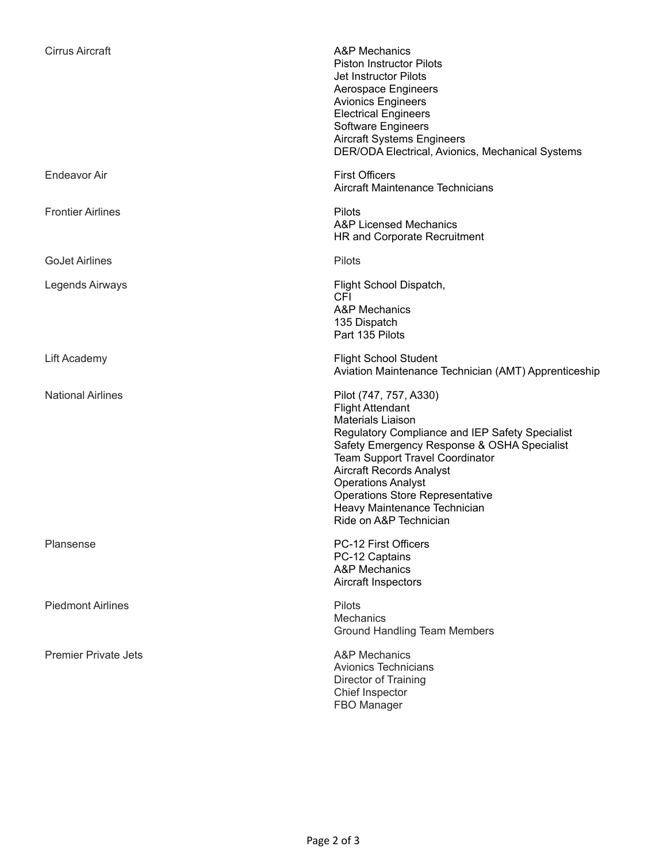| <b>Cirrus Aircraft</b>      | A&P Mechanics<br><b>Piston Instructor Pilots</b><br>Jet Instructor Pilots<br>Aerospace Engineers<br><b>Avionics Engineers</b><br><b>Electrical Engineers</b><br>Software Engineers<br><b>Aircraft Systems Engineers</b><br>DER/ODA Electrical, Avionics, Mechanical Systems                                                                                                                   |
|-----------------------------|-----------------------------------------------------------------------------------------------------------------------------------------------------------------------------------------------------------------------------------------------------------------------------------------------------------------------------------------------------------------------------------------------|
| <b>Endeavor Air</b>         | <b>First Officers</b><br>Aircraft Maintenance Technicians                                                                                                                                                                                                                                                                                                                                     |
| <b>Frontier Airlines</b>    | Pilots<br>A&P Licensed Mechanics<br>HR and Corporate Recruitment                                                                                                                                                                                                                                                                                                                              |
| <b>GoJet Airlines</b>       | Pilots                                                                                                                                                                                                                                                                                                                                                                                        |
| Legends Airways             | Flight School Dispatch,<br><b>CFI</b><br><b>A&amp;P Mechanics</b><br>135 Dispatch<br>Part 135 Pilots                                                                                                                                                                                                                                                                                          |
| Lift Academy                | <b>Flight School Student</b><br>Aviation Maintenance Technician (AMT) Apprenticeship                                                                                                                                                                                                                                                                                                          |
| <b>National Airlines</b>    | Pilot (747, 757, A330)<br><b>Flight Attendant</b><br><b>Materials Liaison</b><br>Regulatory Compliance and IEP Safety Specialist<br>Safety Emergency Response & OSHA Specialist<br><b>Team Support Travel Coordinator</b><br><b>Aircraft Records Analyst</b><br><b>Operations Analyst</b><br><b>Operations Store Representative</b><br>Heavy Maintenance Technician<br>Ride on A&P Technician |
| Plansense                   | PC-12 First Officers<br>PC-12 Captains<br>A&P Mechanics<br>Aircraft Inspectors                                                                                                                                                                                                                                                                                                                |
| <b>Piedmont Airlines</b>    | Pilots<br><b>Mechanics</b><br><b>Ground Handling Team Members</b>                                                                                                                                                                                                                                                                                                                             |
| <b>Premier Private Jets</b> | <b>A&amp;P Mechanics</b><br><b>Avionics Technicians</b><br>Director of Training<br>Chief Inspector<br>FBO Manager                                                                                                                                                                                                                                                                             |